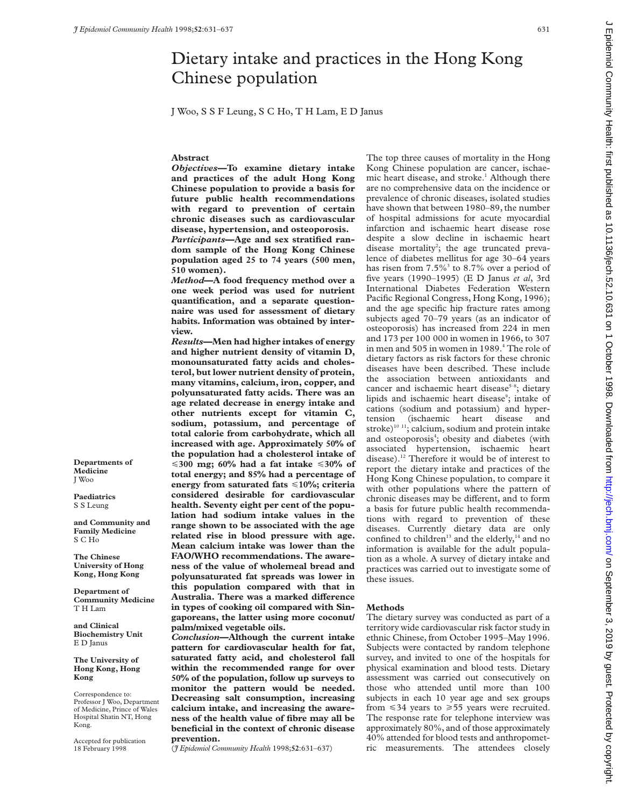**Abstract**

**510 women).**

**view.**

## Dietary intake and practices in the Hong Kong Chinese population J Woo, S S F Leung, S C Ho, T H Lam, E D Janus *Objectives***—To examine dietary intake and practices of the adult Hong Kong Chinese population to provide a basis for future public health recommendations with regard to prevention of certain chronic diseases such as cardiovascular disease, hypertension, and osteoporosis.** *Participants***—Age and sex stratified random sample of the Hong Kong Chinese population aged 25 to 74 years (500 men,** *Method***—A food frequency method over a one week period was used for nutrient quantification, and a separate questionnaire was used for assessment of dietary habits. Information was obtained by inter-***Results***—Men had higher intakes of energy and higher nutrient density of vitamin D, monounsaturated fatty acids and cholesterol, but lower nutrient density of protein, many vitamins, calcium, iron, copper, and polyunsaturated fatty acids. There was an age related decrease in energy intake and other nutrients except for vitamin C, sodium, potassium, and percentage of total calorie from carbohydrate, which all increased with age. Approximately 50% of the population had a cholesterol intake of** <**300 mg; 60% had a fat intake** <**30% of total energy; and 85% had a percentage of energy from saturated fats** <**10%; criteria** The top three causes of mortality in the Hong Kong Chinese population are cancer, ischaemic heart disease, and stroke.<sup>1</sup> Although there are no comprehensive data on the incidence or prevalence of chronic diseases, isolated studies have shown that between 1980–89, the number of hospital admissions for acute myocardial infarction and ischaemic heart disease rose despite a slow decline in ischaemic heart disease mortality<sup>2</sup>; the age truncated prevalence of diabetes mellitus for age 30–64 years

has risen from  $7.5\%$ <sup>3</sup> to  $8.7\%$  over a period of five years (1990–1995) (E D Janus *et al*, 3rd International Diabetes Federation Western Pacific Regional Congress, Hong Kong, 1996); and the age specific hip fracture rates among subjects aged 70–79 years (as an indicator of osteoporosis) has increased from 224 in men and 173 per 100 000 in women in 1966, to 307 in men and 505 in women in 1989.<sup>4</sup> The role of dietary factors as risk factors for these chronic diseases have been described. These include the association between antioxidants and cancer and ischaemic heart disease<sup>5–8</sup>; dietary lipids and ischaemic heart disease<sup>9</sup>; intake of cations (sodium and potassium) and hypertension (ischaemic heart disease and stroke)<sup>10 11</sup>; calcium, sodium and protein intake and osteoporosis<sup>4</sup>; obesity and diabetes (with associated hypertension, ischaemic heart disease).<sup>12</sup> Therefore it would be of interest to report the dietary intake and practices of the Hong Kong Chinese population, to compare it with other populations where the pattern of chronic diseases may be different, and to form a basis for future public health recommendations with regard to prevention of these diseases. Currently dietary data are only confined to children<sup>13</sup> and the elderly,<sup>14</sup> and no information is available for the adult population as a whole. A survey of dietary intake and practices was carried out to investigate some of

## **Methods**

The dietary survey was conducted as part of a territory wide cardiovascular risk factor study in ethnic Chinese, from October 1995–May 1996. Subjects were contacted by random telephone survey, and invited to one of the hospitals for physical examination and blood tests. Dietary assessment was carried out consecutively on those who attended until more than 100 subjects in each 10 year age and sex groups from  $\leq 34$  years to  $\geq 55$  years were recruited. The response rate for telephone interview was approximately 80%, and of those approximately 40% attended for blood tests and anthropometric measurements. The attendees closely

**Departments of Medicine** J Woo

**Paediatrics** S S Leung

**and Community and Family Medicine** S C Ho

**The Chinese University of Hong Kong, Hong Kong**

**Department of Community Medicine** T H Lam

**and Clinical Biochemistry Unit** E D Janus

**The University of Hong Kong, Hong Kong**

Correspondence to: Professor J Woo, Department of Medicine, Prince of Wales Hospital Shatin NT, Hong Kong.

Accepted for publication 18 February 1998

**considered desirable for cardiovascular health. Seventy eight per cent of the population had sodium intake values in the range shown to be associated with the age related rise in blood pressure with age. Mean calcium intake was lower than the FAO/WHO recommendations. The awareness of the value of wholemeal bread and polyunsaturated fat spreads was lower in this population compared with that in** Australia. There was a marked difference **in types of cooking oil compared with Singaporeans, the latter using more coconut/ palm/mixed vegetable oils.** *Conclusion***—Although the current intake pattern for cardiovascular health for fat, saturated fatty acid, and cholesterol fall** these issues.

**within the recommended range for over 50% of the population, follow up surveys to monitor the pattern would be needed. Decreasing salt consumption, increasing calcium intake, and increasing the awareness of the health value of fibre may all be beneficial in the context of chronic disease prevention.**

(*J Epidemiol Community Health* 1998;**52**:631–637)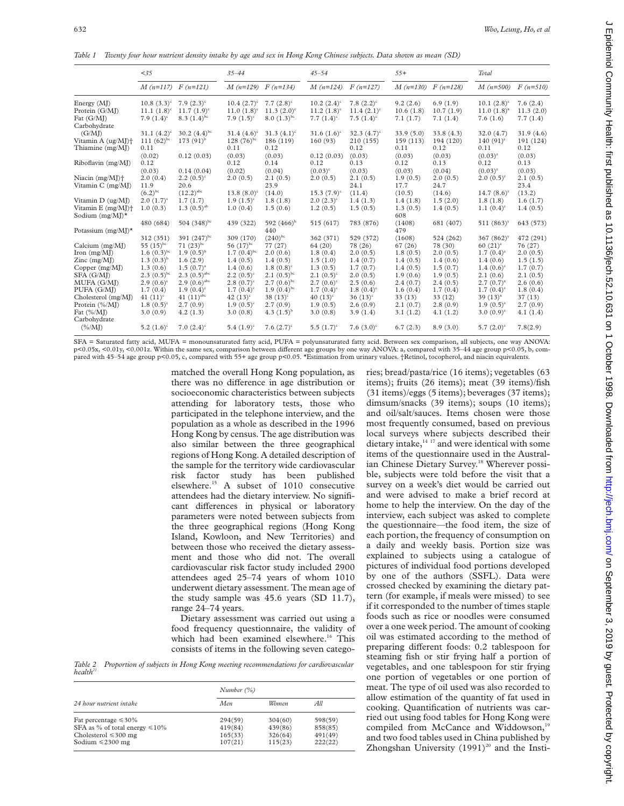*Table 1 Twenty four hour nutrient density intake by age and sex in Hong Kong Chinese subjects. Data shown as mean (SD)*

|                                        | < 35                            |                           | $35 - 44$               |                           | $45 - 54$      |                           | $55+$                 |                   | Total                 |                   |
|----------------------------------------|---------------------------------|---------------------------|-------------------------|---------------------------|----------------|---------------------------|-----------------------|-------------------|-----------------------|-------------------|
|                                        | $M(n=117)$ $F(n=121)$           |                           | $M(n=129)$ $F(n=134)$   |                           | $M(n=124)$     | $F(n=127)$                | $M(n=130)$ $F(n=128)$ |                   | $M(n=500)$            | $F(n=510)$        |
| Energy $(MJ)$                          | $10.8(3.3)^{c}$ 7.9 $(2.3)^{c}$ |                           | $10.4~(2.7)^{\circ}$    | $7.7(2.8)^c$              | $10.2 (2.4)^c$ | $7.8~(2.2)^c$             | 9.2(2.6)              | 6.9(1.9)          | $10.1 (2.8)^{z}$      | 7.6(2.4)          |
| Protein (G/MJ)                         | $11.1 (1.8)^c$                  | $11.7 (1.9)^c$            | $11.0 (1.8)^c$          | $11.3 (2.0)$ <sup>c</sup> | $11.2 (1.8)^c$ | $11.4 (2.1)^c$            | 10.6(1.8)             | 10.7(1.9)         | $11.0(1.8)^{x}$       | 11.3(2.0)         |
| Fat (G/MI)<br>Carbohydrate             | 7.9 $(1.4)^c$                   | $8.3 (1.4)$ <sup>bc</sup> | 7.9 $(1.5)^c$           | $8.0 (1.3)^{bc}$          | 7.7 $(1.4)^c$  | 7.5 $(1.4)^c$             | 7.1(1.7)              | 7.1(1.4)          | 7.6(1.6)              | 7.7(1.4)          |
| (G/MI)                                 | $31.1 (4.2)^c$                  | 30.2 $(4.4)^{bc}$         | $31.4~(4.6)^c$          | $31.3 (4.1)^c$            | $31.6 (1.6)^c$ | 32.3 $(4.7)$ <sup>c</sup> | 33.9(5.0)             | 33.8(4.3)         | 32.0(4.7)             | 31.9(4.6)         |
| Vitamin A (ug/MI)+<br>Thiamine (mg/MJ) | 111 $(62)^{bc}$<br>0.11         | 173 $(91)^{b}$            | 128 $(76)^{bc}$<br>0.11 | 186 (119)<br>0.12         | 160(93)        | 210 (155)<br>0.12         | 159 (113)<br>0.11     | 194 (120)<br>0.12 | $140(91)^{z}$<br>0.11 | 191 (124)<br>0.12 |
|                                        | (0.02)                          | 0.12(0.03)                | (0.03)                  | (0.03)                    | 0.12(0.03)     | (0.03)                    | (0.03)                | (0.03)            | $(0.03)^{z}$          | (0.03)            |
| Riboflavin (mg/MJ)                     | 0.12                            |                           | 0.12                    | 0.14                      | 0.12           | 0.13                      | 0.12                  | 0.13              | 0.12                  | 0.13              |
|                                        | (0.03)                          | 0.14(0.04)                | (0.02)                  | (0.04)                    | $(0.03)^c$     | (0.03)                    | (0.03)                | (0.04)            | $(0.03)^{z}$          | (0.03)            |
| Niacin $(mg/M)$ <sup>+</sup>           | 2.0(0.4)                        | $2.2(0.5)^c$              | 2.0(0.5)                | 2.1(0.5)                  | 2.0(0.5)       | 2.1(0.5)                  | 1.9(0.5)              | 2.0(0.5)          | $2.0(0.5)^y$          | 2.1(0.5)          |
| Vitamin C (mg/MJ)                      | 11.9                            | 20.6                      |                         | 23.9                      |                | 24.1                      | 17.7                  | 24.7              |                       | 23.4              |
|                                        | $(6.2)^{bc}$                    | $(12.2)^{abc}$            | $13.8(8.0)^c$           | (14.0)                    | $15.3 (7.9)^c$ | (11.4)                    | (10.5)                | (14.6)            | $14.7(8.6)^{z}$       | (13.2)            |
| Vitamin D (ug/MJ)                      | $2.0~(1.7)^c$                   | 1.7(1.7)                  | $1.9(1.5)^c$            | 1.8(1.8)                  | $2.0(2.3)^c$   | 1.4(1.3)                  | 1.4(1.8)              | 1.5(2.0)          | 1.8(1.8)              | 1.6(1.7)          |
| Vitamin $E$ (mg/MJ) <sup>+</sup>       | 1.0(0.3)                        | $1.3(0.5)^{ab}$           | 1.0(0.4)                | 1.5(0.6)                  | 1.2(0.5)       | 1.5(0.5)                  | 1.3(0.5)              | 1.4(0.5)          | $1.1(0.4)^{z}$        | 1.4(0.5)          |
| Sodium $(mg/M)^*$                      |                                 |                           |                         |                           |                |                           | 608                   |                   |                       |                   |
| Potassium (mg/MJ) $\star$              | 480 (684)                       | 504 $(348)$ <sup>bc</sup> | 439 (322)               | 592 $(466)^{b}$<br>440    | 515 (617)      | 783 (876)                 | (1408)<br>479         | 681 (407)         | $511 (863)^y$         | 643 (573)         |
|                                        | 312 (351)                       | 391 $(247)^{bc}$          | 309 (170)               | $(240)^{bc}$              | 362 (371)      | 529 (372)                 | (1608)                | 524 (262)         | 367 $(862)^y$         | 472 (291)         |
| Calcium $(mg/M)$                       | 55 $(15)^{bc}$                  | $71(23)^{bc}$             | 56 $(17)^{bc}$          | 77 (27)                   | 64 (20)        | 78 (26)                   | 67(26)                | 78 (30)           | $60(21)^{z}$          | 76 (27)           |
| Iron $(mg/MJ)$                         | $1.6(0.3)^{bc}$                 | $1.9(0.5)^{b}$            | 1.7 $(0.4)$ bc          | 2.0(0.6)                  | 1.8(0.4)       | 2.0(0.5)                  | 1.8(0.5)              | 2.0(0.5)          | $1.7(0.4)^{z}$        | 2.0(0.5)          |
| Zinc $(mg/MJ)$                         | $1.3(0.3)^{b}$                  | 1.6(2.9)                  | 1.4(0.5)                | 1.4(0.5)                  | 1.5(1.0)       | 1.4(0.7)                  | 1.4(0.5)              | 1.4(0.6)          | 1.4(0.6)              | 1.5(1.5)          |
| Copper $(mg/M)$                        | 1.3(0.6)                        | $1.5(0.7)^{a}$            | 1.4(0.6)                | $1.8(0.8)^c$              | 1.3(0.5)       | 1.7(0.7)                  | 1.4(0.5)              | 1.5(0.7)          | $1.4(0.6)^{z}$        | 1.7(0.7)          |
| SFA (G/MI)                             | $2.3(0.5)^{bc}$                 | $2.3(0.5)^{abc}$          | $2.2(0.5)^c$            | $2.1(0.5)^{bc}$           | $2.1(0.5)^c$   | 2.0(0.5)                  | 1.9(0.6)              | 1.9(0.5)          | 2.1(0.6)              | 2.1(0.5)          |
| MUFA (G/MI)                            | $2.9(0.6)^c$                    | $2.9(0.6)^{abc}$          | $2.8(0.7)^c$            | $2.7(0.6)^{bc}$           | $2.7(0.6)^c$   | 2.5(0.6)                  | 2.4(0.7)              | 2.4(0.5)          | $2.7(0.7)^{x}$        | 2.6(0.6)          |
| PUFA (G/MJ)                            | 1.7(0.4)                        | $1.9(0.4)^c$              | $1.7(0.4)^c$            | $1.9(0.4)^{bc}$           | $1.7(0.4)^c$   | $1.8(0.4)^c$              | 1.6(0.4)              | 1.7(0.4)          | $1.7(0.4)^{z}$        | 1.8(0.4)          |
| Cholesterol (mg/MJ)                    | 41 $(11)^c$                     | 41 $(11)^{abc}$           | 42 $(13)^c$             | 38 $(13)^c$               | 40 $(13)^c$    | $36(13)^c$                | 33(13)                | 33(12)            | $39(13)^{x}$          | 37(13)            |
| Protein (%/MJ)                         | $1.8(0.5)^{\circ}$              | 2.7(0.9)                  | $1.9(0.5)^c$            | 2.7(0.9)                  | 1.9(0.5)       | 2.6(0.9)                  | 2.1(0.7)              | 2.8(0.9)          | $1.9(0.5)^{z}$        | 2.7(0.9)          |
| Fat $(\% / M)$                         | 3.0(0.9)                        | 4.2(1.3)                  | 3.0(0.8)                | 4.3 $(1.5)^{b}$           | 3.0(0.8)       | 3.9(1.4)                  | 3.1(1.2)              | 4.1(1.2)          | $3.0(0.9)^{z}$        | 4.1(1.4)          |
| Carbohydrate<br>$(\% / M)$             | 5.2 $(1.6)^c$                   | 7.0 $(2.4)^c$             | 5.4 $(1.9)^c$           | 7.6 $(2.7)^c$             | 5.5 $(1.7)^c$  | 7.6 $(3.0)^c$             | 6.7(2.3)              | 8.9(3.0)          | $5.7(2.0)^{z}$        | 7.8(2.9)          |

SFA = Saturated fatty acid, MUFA = monounsaturated fatty acid, PUFA = polyunsaturated fatty acid. Between sex comparison, all subjects, one way ANOVA:  $p$ <0.01 $x$ , <0.01 $y$ , <0.001 $z$ . Within the same sex, comparison between different age groups by one way ANOVA: a, compared with 35–44 age group  $p$ <0.05, b, compared with 45–54 age group p<0.05, c, compared with 55+ age group p<0.05. \*Estimation from urinary values. †Retinol, tocopherol, and niacin equivalents.

> matched the overall Hong Kong population, as there was no difference in age distribution or socioeconomic characteristics between subjects attending for laboratory tests, those who participated in the telephone interview, and the population as a whole as described in the 1996 Hong Kong by census. The age distribution was also similar between the three geographical regions of Hong Kong. A detailed description of the sample for the territory wide cardiovascular risk factor study has been published elsewhere.15 A subset of 1010 consecutive attendees had the dietary interview. No significant differences in physical or laboratory parameters were noted between subjects from the three geographical regions (Hong Kong Island, Kowloon, and New Territories) and between those who received the dietary assessment and those who did not. The overall cardiovascular risk factor study included 2900 attendees aged 25–74 years of whom 1010 underwent dietary assessment. The mean age of the study sample was 45.6 years (SD 11.7), range 24–74 years.

Dietary assessment was carried out using a food frequency questionnaire, the validity of which had been examined elsewhere.<sup>16</sup> This consists of items in the following seven catego-

*Table 2 Proportion of subjects in Hong Kong meeting recommendations for cardiovascular health21*

|                                                                                                                          | Number $(\%)$                            |                                          |                                          |  |  |  |
|--------------------------------------------------------------------------------------------------------------------------|------------------------------------------|------------------------------------------|------------------------------------------|--|--|--|
| 24 hour nutrient intake                                                                                                  | Men.                                     | Women                                    | All                                      |  |  |  |
| Fat percentage $\leq 30\%$<br>SFA as % of total energy $\leq 10\%$<br>Cholesterol $\leq 300$ mg<br>Sodium $\leq$ 2300 mg | 294(59)<br>419(84)<br>165(33)<br>107(21) | 304(60)<br>439(86)<br>326(64)<br>115(23) | 598(59)<br>858(85)<br>491(49)<br>222(22) |  |  |  |

ries; bread/pasta/rice (16 items); vegetables (63 items); fruits (26 items); meat (39 items)/fish (31 items)/eggs (5 items); beverages (37 items); dimsum/snacks (39 items); soups (10 items); and oil/salt/sauces. Items chosen were those most frequently consumed, based on previous local surveys where subjects described their dietary intake, $14 \frac{17}{17}$  and were identical with some items of the questionnaire used in the Australian Chinese Dietary Survey.<sup>18</sup> Wherever possible, subjects were told before the visit that a survey on a week's diet would be carried out and were advised to make a brief record at home to help the interview. On the day of the interview, each subject was asked to complete the questionnaire—the food item, the size of each portion, the frequency of consumption on a daily and weekly basis. Portion size was explained to subjects using a catalogue of pictures of individual food portions developed by one of the authors (SSFL). Data were crossed checked by examining the dietary pattern (for example, if meals were missed) to see if it corresponded to the number of times staple foods such as rice or noodles were consumed over a one week period. The amount of cooking oil was estimated according to the method of preparing different foods: 0.2 tablespoon for steaming fish or stir frying half a portion of vegetables, and one tablespoon for stir frying one portion of vegetables or one portion of meat. The type of oil used was also recorded to allow estimation of the quantity of fat used in cooking. Quantification of nutrients was carried out using food tables for Hong Kong were compiled from McCance and Widdowson,<sup>19</sup> and two food tables used in China published by Zhongshan University  $(1991)^{20}$  and the Insti-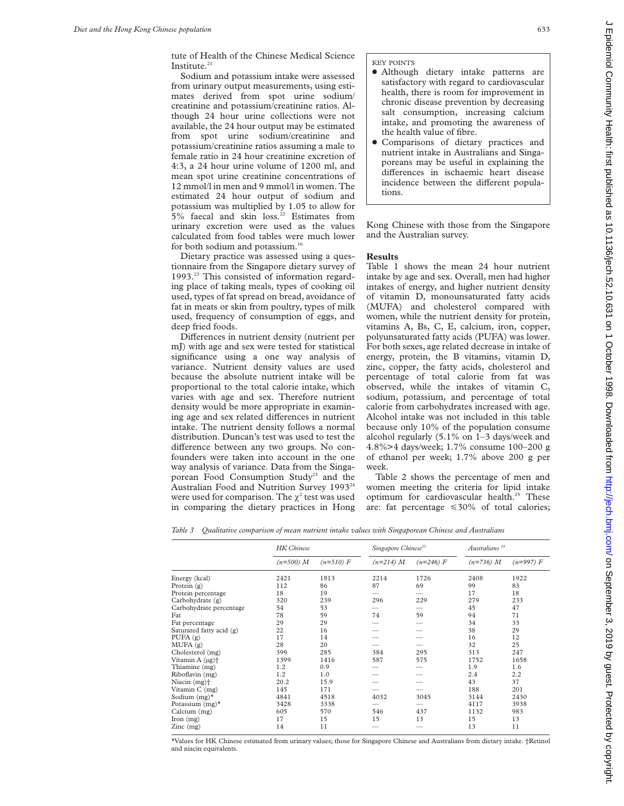Sodium and potassium intake were assessed from urinary output measurements, using estimates derived from spot urine sodium/ creatinine and potassium/creatinine ratios. Although 24 hour urine collections were not available, the 24 hour output may be estimated from spot urine sodium/creatinine and potassium/creatinine ratios assuming a male to female ratio in 24 hour creatinine excretion of 4:3, a 24 hour urine volume of 1200 ml, and mean spot urine creatinine concentrations of 12 mmol/l in men and 9 mmol/l in women. The estimated 24 hour output of sodium and potassium was multiplied by 1.05 to allow for  $5%$  faecal and skin loss.<sup>22</sup> Estimates from urinary excretion were used as the values calculated from food tables were much lower for both sodium and potassium.<sup>16</sup>

Dietary practice was assessed using a questionnaire from the Singapore dietary survey of 1993.23 This consisted of information regarding place of taking meals, types of cooking oil used, types of fat spread on bread, avoidance of fat in meats or skin from poultry, types of milk used, frequency of consumption of eggs, and deep fried foods.

Differences in nutrient density (nutrient per mJ) with age and sex were tested for statistical significance using a one way analysis of variance. Nutrient density values are used because the absolute nutrient intake will be proportional to the total calorie intake, which varies with age and sex. Therefore nutrient density would be more appropriate in examining age and sex related differences in nutrient intake. The nutrient density follows a normal distribution. Duncan's test was used to test the difference between any two groups. No confounders were taken into account in the one way analysis of variance. Data from the Singaporean Food Consumption Study<sup>23</sup> and the Australian Food and Nutrition Survey 1993<sup>24</sup> were used for comparison. The  $\gamma^2$  test was used in comparing the dietary practices in Hong

KEY POINTS

- Although dietary intake patterns are satisfactory with regard to cardiovascular health, there is room for improvement in chronic disease prevention by decreasing salt consumption, increasing calcium intake, and promoting the awareness of the health value of fibre.
- Comparisons of dietary practices and nutrient intake in Australians and Singaporeans may be useful in explaining the differences in ischaemic heart disease incidence between the different populations.

Kong Chinese with those from the Singapore and the Australian survey.

## **Results**

Table 1 shows the mean 24 hour nutrient intake by age and sex. Overall, men had higher intakes of energy, and higher nutrient density of vitamin D, monounsaturated fatty acids (MUFA) and cholesterol compared with women, while the nutrient density for protein, vitamins A, Bs, C, E, calcium, iron, copper, polyunsaturated fatty acids (PUFA) was lower. For both sexes, age related decrease in intake of energy, protein, the B vitamins, vitamin D, zinc, copper, the fatty acids, cholesterol and percentage of total calorie from fat was observed, while the intakes of vitamin C, sodium, potassium, and percentage of total calorie from carbohydrates increased with age. Alcohol intake was not included in this table because only 10% of the population consume alcohol regularly (5.1% on 1–3 days/week and 4.8%>4 days/week; 1.7% consume 100–200 g of ethanol per week; 1.7% above 200 g per week.

Table 2 shows the percentage of men and women meeting the criteria for lipid intake optimum for cardiovascular health.<sup>25</sup> These are: fat percentage  $\leq 30\%$  of total calories;

*Table 3 Qualitative comparison of mean nutrient intake values with Singaporean Chinese and Australians*

|                                 | <b>HK</b> Chinese |             | Singapore Chinese <sup>23</sup> |             | Australians <sup>24</sup> |             |  |
|---------------------------------|-------------------|-------------|---------------------------------|-------------|---------------------------|-------------|--|
|                                 | $(n=500) M$       | $(n=510) F$ | $(n=214) M$                     | $(n=246) F$ | $(n=736) M$               | $(n=997) F$ |  |
| Energy (kcal)                   | 2421              | 1813        | 2214                            | 1726        | 2408                      | 1922        |  |
| Protein $(g)$                   | 112               | 86          | 87                              | 69          | 99                        | 83          |  |
| Protein percentage              | 18                | 19          |                                 |             | 17                        | 18          |  |
| Carbohydrate (g)                | 320               | 239         | 296                             | 229         | 279                       | 233         |  |
| Carbohydrate percentage         | 54                | 53          |                                 |             | 45                        | 47          |  |
| Fat                             | 78                | 59          | 74                              | 59          | 94                        | 71          |  |
| Fat percentage                  | 29                | 29          |                                 |             | 34                        | 33          |  |
| Saturated fatty acid (g)        | 22                | 16          |                                 |             | 38                        | 29          |  |
| PUFA $(g)$                      | 17                | 14          |                                 |             | 16                        | 12          |  |
| MUFA(g)                         | 28                | 20          |                                 |             | 32                        | 25          |  |
| Cholesterol (mg)                | 399               | 285         | 384                             | 295         | 313                       | 247         |  |
| Vitamin $A(\mu g)$ <sup>+</sup> | 1399              | 1416        | 587                             | 575         | 1752                      | 1658        |  |
| Thiamine (mg)                   | 1.2               | 0.9         |                                 |             | 1.9                       | 1.6         |  |
| Riboflavin (mg)                 | 1.2               | 1.0         |                                 |             | 2.4                       | 2.2         |  |
| Niacin $(mg)$ <sup>+</sup>      | 20.2              | 15.9        |                                 |             | 43                        | 37          |  |
| Vitamin C (mg)                  | 145               | 171         |                                 |             | 188                       | 201         |  |
| Sodium $(mg)^*$                 | 4841              | 4518        | 4032                            | 3045        | 3144                      | 2430        |  |
| Potassium $(mg)^*$              | 3428              | 3338        |                                 |             | 4117                      | 3938        |  |
| Calcium (mg)                    | 605               | 570         | 546                             | 437         | 1132                      | 983         |  |
| $\Gamma$ Iron $(mg)$            | 17                | 15          | 15                              | 13          | 15                        | 13          |  |
| $\text{Zinc}$ (mg)              | 14                | 11          |                                 |             | 13                        | 11          |  |

\*Values for HK Chinese estimated from urinary values; those for Singapore Chinese and Australians from dietary intake. †Retinol and niacin equivalents.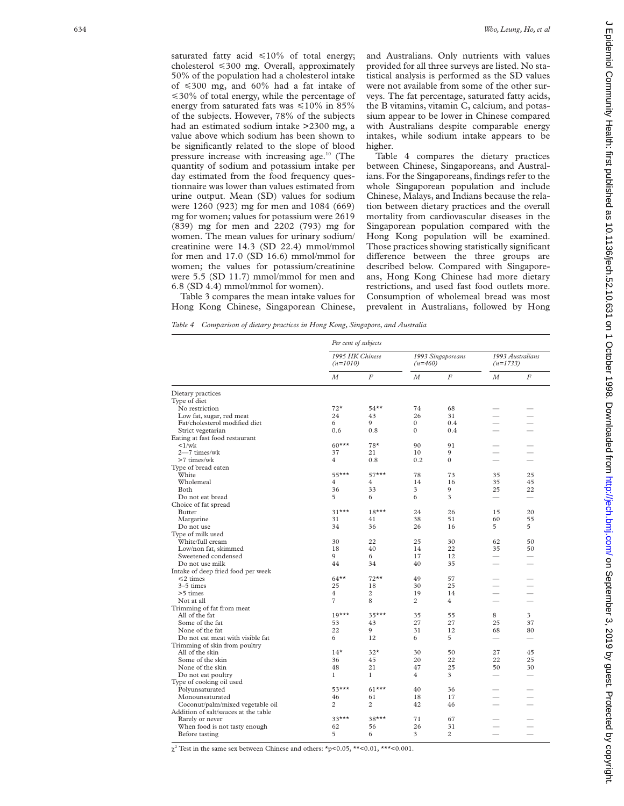saturated fatty acid  $\leq 10\%$  of total energy; cholesterol <300 mg. Overall, approximately 50% of the population had a cholesterol intake of  $\leq 300$  mg, and 60% had a fat intake of  $\leq 30\%$  of total energy, while the percentage of energy from saturated fats was  $\leq 10\%$  in 85% of the subjects. However, 78% of the subjects had an estimated sodium intake >2300 mg, a value above which sodium has been shown to be significantly related to the slope of blood pressure increase with increasing age.<sup>10</sup> (The quantity of sodium and potassium intake per day estimated from the food frequency questionnaire was lower than values estimated from urine output. Mean (SD) values for sodium were 1260 (923) mg for men and 1084 (669) mg for women; values for potassium were 2619 (839) mg for men and 2202 (793) mg for women. The mean values for urinary sodium/ creatinine were 14.3 (SD 22.4) mmol/mmol for men and 17.0 (SD 16.6) mmol/mmol for women; the values for potassium/creatinine were 5.5 (SD 11.7) mmol/mmol for men and 6.8 (SD 4.4) mmol/mmol for women).

and Australians. Only nutrients with values provided for all three surveys are listed. No statistical analysis is performed as the SD values were not available from some of the other surveys. The fat percentage, saturated fatty acids, the B vitamins, vitamin C, calcium, and potassium appear to be lower in Chinese compared with Australians despite comparable energy intakes, while sodium intake appears to be higher.

Table 4 compares the dietary practices between Chinese, Singaporeans, and Australians. For the Singaporeans, findings refer to the whole Singaporean population and include Chinese, Malays, and Indians because the relation between dietary practices and the overall mortality from cardiovascular diseases in the Singaporean population compared with the Hong Kong population will be examined. Those practices showing statistically significant difference between the three groups are described below. Compared with Singaporeans, Hong Kong Chinese had more dietary restrictions, and used fast food outlets more. Consumption of wholemeal bread was most prevalent in Australians, followed by Hong

Table 3 compares the mean intake values for Hong Kong Chinese, Singaporean Chinese,

*Table 4 Comparison of dietary practices in Hong Kong, Singapore, and Australia*

|                                      | Per cent of subjects          |                |                                |                  |                                |    |  |  |
|--------------------------------------|-------------------------------|----------------|--------------------------------|------------------|--------------------------------|----|--|--|
|                                      | 1995 HK Chinese<br>$(n=1010)$ |                | 1993 Singaporeans<br>$(n=460)$ |                  | 1993 Australians<br>$(n=1733)$ |    |  |  |
|                                      | М                             | F              | М                              | $\boldsymbol{F}$ | М                              | F  |  |  |
| Dietary practices                    |                               |                |                                |                  |                                |    |  |  |
| Type of diet                         |                               |                |                                |                  |                                |    |  |  |
| No restriction                       | $72*$                         | $54**$         | 74                             | 68               |                                |    |  |  |
| Low fat, sugar, red meat             | 24                            | 43             | 26                             | 31               | $\overline{\phantom{0}}$       |    |  |  |
| Fat/cholesterol modified diet        | 6                             | 0              | $\Omega$                       | 0.4              | $\overline{\phantom{0}}$       |    |  |  |
| Strict vegetarian                    | 0.6                           | 0.8            | $\Omega$                       | 0.4              |                                |    |  |  |
| Eating at fast food restaurant       |                               |                |                                |                  |                                |    |  |  |
| $\langle 1/wk \rangle$               | $60***$                       | $78*$          | 90                             | 91               |                                |    |  |  |
| 2-7 times/wk                         | 37                            | 21             | 10                             | $\mathbf Q$      | $\overline{\phantom{a}}$       |    |  |  |
| >7 times/wk                          | $\overline{4}$                | 0.8            | 0.2                            | $\theta$         |                                |    |  |  |
| Type of bread eaten                  |                               |                |                                |                  |                                |    |  |  |
| White                                | $55***$                       | $57***$        | 78                             | 73               | 35                             | 25 |  |  |
| Wholemeal                            | $\overline{4}$                | $\overline{4}$ | 14                             | 16               | 35                             | 45 |  |  |
| Both                                 | 36                            | 33             | $\overline{\mathbf{3}}$        | $\mathbf Q$      | 25                             | 22 |  |  |
| Do not eat bread                     | 5                             | 6              | 6                              | 3                |                                |    |  |  |
| Choice of fat spread                 |                               |                |                                |                  |                                |    |  |  |
| Butter                               | $31***$                       | $18***$        | 24                             | 26               | 15                             | 20 |  |  |
| Margarine                            | 31                            | 41             | 38                             | 51               | 60                             | 55 |  |  |
| Do not use                           | 34                            | 36             | 26                             | 16               | 5                              | 5  |  |  |
| Type of milk used                    |                               |                |                                |                  |                                |    |  |  |
| White/full cream                     | 30                            | 22             | 25                             | 30               | 62                             | 50 |  |  |
| Low/non fat, skimmed                 | 18                            | 40             | 14                             | 22               | 35                             | 50 |  |  |
| Sweetened condensed                  | 9                             | 6              | 17                             | 12               |                                |    |  |  |
| Do not use milk                      | 44                            | 34             | 40                             | 35               |                                |    |  |  |
| Intake of deep fried food per week   |                               |                |                                |                  |                                |    |  |  |
| $\leq$ 2 times                       | $64***$                       | $72**$         | 49                             | 57               |                                |    |  |  |
| $3-5$ times                          | 25                            | 18             | 30                             | 25               |                                |    |  |  |
| >5 times                             | $\overline{4}$                | $\overline{c}$ | 19                             | 14               |                                |    |  |  |
| Not at all                           | $\overline{7}$                | 8              | $\overline{c}$                 | $\overline{4}$   | $\overline{\phantom{0}}$       |    |  |  |
| Trimming of fat from meat            |                               |                |                                |                  |                                |    |  |  |
| All of the fat                       | $19***$                       | $35***$        | 35                             | 55               | 8                              | 3  |  |  |
| Some of the fat                      | 53                            | 43             | 27                             | 27               | 25                             | 37 |  |  |
| None of the fat                      | 22                            | 9              | 31                             | 12               | 68                             | 80 |  |  |
| Do not eat meat with visible fat     | 6                             | 12             | 6                              | 5                |                                |    |  |  |
| Trimming of skin from poultry        |                               |                |                                |                  |                                |    |  |  |
| All of the skin                      | $14*$                         | $32*$          | 30                             | 50               | 27                             | 45 |  |  |
| Some of the skin                     | 36                            | 45             | 20                             | 22               | 22                             | 25 |  |  |
| None of the skin                     | 48                            | 21             | 47                             | 25               | 50                             | 30 |  |  |
| Do not eat poultry                   | $\mathbf{1}$                  | 1              | 4                              | 3                |                                |    |  |  |
| Type of cooking oil used             |                               |                |                                |                  |                                |    |  |  |
| Polyunsaturated                      | $53***$                       | $61***$        | 40                             | 36               |                                |    |  |  |
| Monounsaturated                      | 46                            | 61             | 18                             | 17               |                                |    |  |  |
| Coconut/palm/mixed vegetable oil     | $\overline{c}$                | $\overline{c}$ | 42                             | 46               |                                |    |  |  |
| Addition of salt/sauces at the table |                               |                |                                |                  |                                |    |  |  |
| Rarely or never                      | $33***$                       | $38***$        | 71                             | 67               |                                |    |  |  |
| When food is not tasty enough        | 62                            | 56             | 26                             | 31               |                                |    |  |  |
| Before tasting                       | 5                             | 6              | $\overline{\mathbf{3}}$        | $\overline{c}$   |                                |    |  |  |
|                                      |                               |                |                                |                  |                                |    |  |  |

 $\chi^2$  Test in the same sex between Chinese and others: \*p<0.05, \*\*<0.01, \*\*\*<0.001.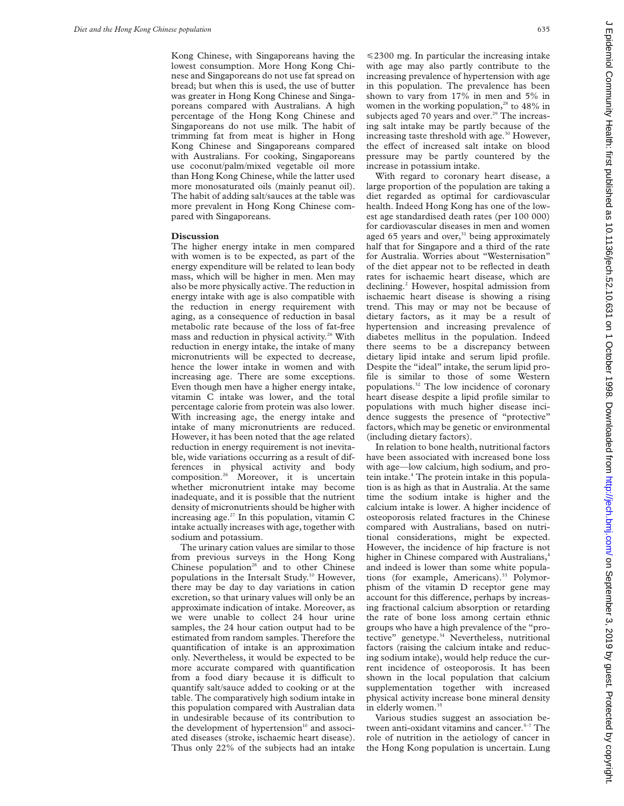Kong Chinese, with Singaporeans having the lowest consumption. More Hong Kong Chinese and Singaporeans do not use fat spread on bread; but when this is used, the use of butter was greater in Hong Kong Chinese and Singaporeans compared with Australians. A high percentage of the Hong Kong Chinese and Singaporeans do not use milk. The habit of trimming fat from meat is higher in Hong Kong Chinese and Singaporeans compared with Australians. For cooking, Singaporeans use coconut/palm/mixed vegetable oil more than Hong Kong Chinese, while the latter used more monosaturated oils (mainly peanut oil). The habit of adding salt/sauces at the table was more prevalent in Hong Kong Chinese compared with Singaporeans.

## **Discussion**

The higher energy intake in men compared with women is to be expected, as part of the energy expenditure will be related to lean body mass, which will be higher in men. Men may also be more physically active. The reduction in energy intake with age is also compatible with the reduction in energy requirement with aging, as a consequence of reduction in basal metabolic rate because of the loss of fat-free mass and reduction in physical activity.<sup>26</sup> With reduction in energy intake, the intake of many micronutrients will be expected to decrease, hence the lower intake in women and with increasing age. There are some exceptions. Even though men have a higher energy intake, vitamin C intake was lower, and the total percentage calorie from protein was also lower. With increasing age, the energy intake and intake of many micronutrients are reduced. However, it has been noted that the age related reduction in energy requirement is not inevitable, wide variations occurring as a result of differences in physical activity and body composition.26 Moreover, it is uncertain whether micronutrient intake may become inadequate, and it is possible that the nutrient density of micronutrients should be higher with increasing age. $27$  In this population, vitamin C intake actually increases with age, together with sodium and potassium.

The urinary cation values are similar to those from previous surveys in the Hong Kong Chinese population $28$  and to other Chinese populations in the Intersalt Study.10 However, there may be day to day variations in cation excretion, so that urinary values will only be an approximate indication of intake. Moreover, as we were unable to collect 24 hour urine samples, the 24 hour cation output had to be estimated from random samples. Therefore the quantification of intake is an approximation only. Nevertheless, it would be expected to be more accurate compared with quantification from a food diary because it is difficult to quantify salt/sauce added to cooking or at the table. The comparatively high sodium intake in this population compared with Australian data in undesirable because of its contribution to the development of hypertension $10$  and associated diseases (stroke, ischaemic heart disease). Thus only 22% of the subjects had an intake

 $\leq$ 2300 mg. In particular the increasing intake with age may also partly contribute to the increasing prevalence of hypertension with age in this population. The prevalence has been shown to vary from 17% in men and 5% in women in the working population,<sup>28</sup> to 48% in subjects aged 70 years and over.<sup>29</sup> The increasing salt intake may be partly because of the increasing taste threshold with age. $30$  However, the effect of increased salt intake on blood pressure may be partly countered by the increase in potassium intake.

With regard to coronary heart disease, a large proportion of the population are taking a diet regarded as optimal for cardiovascular health. Indeed Hong Kong has one of the lowest age standardised death rates (per 100 000) for cardiovascular diseases in men and women aged 65 years and over, $31$  being approximately half that for Singapore and a third of the rate for Australia. Worries about "Westernisation" of the diet appear not to be reflected in death rates for ischaemic heart disease, which are declining.<sup>2</sup> However, hospital admission from ischaemic heart disease is showing a rising trend. This may or may not be because of dietary factors, as it may be a result of hypertension and increasing prevalence of diabetes mellitus in the population. Indeed there seems to be a discrepancy between dietary lipid intake and serum lipid profile. Despite the "ideal" intake, the serum lipid profile is similar to those of some Western populations.32 The low incidence of coronary heart disease despite a lipid profile similar to populations with much higher disease incidence suggests the presence of "protective" factors, which may be genetic or environmental (including dietary factors).

In relation to bone health, nutritional factors have been associated with increased bone loss with age—low calcium, high sodium, and protein intake.4 The protein intake in this population is as high as that in Australia. At the same time the sodium intake is higher and the calcium intake is lower. A higher incidence of osteoporosis related fractures in the Chinese compared with Australians, based on nutritional considerations, might be expected. However, the incidence of hip fracture is not higher in Chinese compared with Australians,<sup>4</sup> and indeed is lower than some white populations (for example, Americans).<sup>33</sup> Polymorphism of the vitamin D receptor gene may account for this difference, perhaps by increasing fractional calcium absorption or retarding the rate of bone loss among certain ethnic groups who have a high prevalence of the "protective" genetype.<sup>34</sup> Nevertheless, nutritional factors (raising the calcium intake and reducing sodium intake), would help reduce the current incidence of osteoporosis. It has been shown in the local population that calcium supplementation together with increased physical activity increase bone mineral density in elderly women.<sup>35</sup>

Various studies suggest an association between anti-oxidant vitamins and cancer.<sup>5-7</sup> The role of nutrition in the aetiology of cancer in the Hong Kong population is uncertain. Lung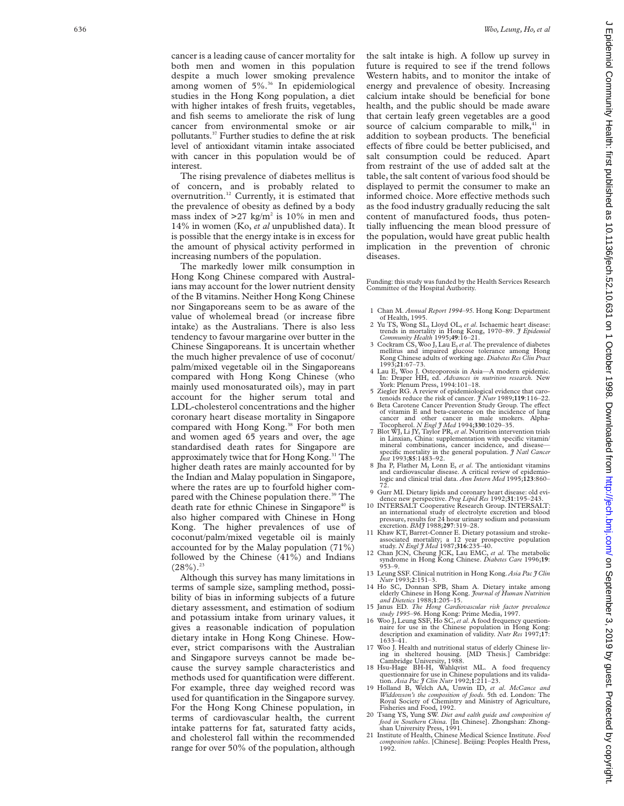cancer is a leading cause of cancer mortality for both men and women in this population despite a much lower smoking prevalence among women of 5%.<sup>36</sup> In epidemiological studies in the Hong Kong population, a diet with higher intakes of fresh fruits, vegetables, and fish seems to ameliorate the risk of lung cancer from environmental smoke or air pollutants.37 Further studies to define the at risk level of antioxidant vitamin intake associated with cancer in this population would be of interest.

The rising prevalence of diabetes mellitus is of concern, and is probably related to overnutrition.12 Currently, it is estimated that the prevalence of obesity as defined by a body mass index of  $>27$  kg/m<sup>2</sup> is 10% in men and 14% in women (Ko, *et al* unpublished data). It is possible that the energy intake is in excess for the amount of physical activity performed in increasing numbers of the population.

The markedly lower milk consumption in Hong Kong Chinese compared with Australians may account for the lower nutrient density of the B vitamins. Neither Hong Kong Chinese nor Singaporeans seem to be as aware of the value of wholemeal bread (or increase fibre intake) as the Australians. There is also less tendency to favour margarine over butter in the Chinese Singaporeans. It is uncertain whether the much higher prevalence of use of coconut/ palm/mixed vegetable oil in the Singaporeans compared with Hong Kong Chinese (who mainly used monosaturated oils), may in part account for the higher serum total and LDL-cholesterol concentrations and the higher coronary heart disease mortality in Singapore compared with Hong Kong.<sup>38</sup> For both men and women aged 65 years and over, the age standardised death rates for Singapore are approximately twice that for Hong Kong.<sup>31</sup> The higher death rates are mainly accounted for by the Indian and Malay population in Singapore, where the rates are up to fourfold higher compared with the Chinese population there.<sup>39</sup> The death rate for ethnic Chinese in Singapore<sup>40</sup> is also higher compared with Chinese in Hong Kong. The higher prevalences of use of coconut/palm/mixed vegetable oil is mainly accounted for by the Malay population (71%) followed by the Chinese (41%) and Indians  $(28\%)$ <sup>23</sup>

Although this survey has many limitations in terms of sample size, sampling method, possibility of bias in informing subjects of a future dietary assessment, and estimation of sodium and potassium intake from urinary values, it gives a reasonable indication of population dietary intake in Hong Kong Chinese. However, strict comparisons with the Australian and Singapore surveys cannot be made because the survey sample characteristics and methods used for quantification were different. For example, three day weighed record was used for quantification in the Singapore survey. For the Hong Kong Chinese population, in terms of cardiovascular health, the current intake patterns for fat, saturated fatty acids, and cholesterol fall within the recommended range for over 50% of the population, although

the salt intake is high. A follow up survey in future is required to see if the trend follows Western habits, and to monitor the intake of energy and prevalence of obesity. Increasing calcium intake should be beneficial for bone health, and the public should be made aware that certain leafy green vegetables are a good source of calcium comparable to milk, $41$  in addition to soybean products. The beneficial effects of fibre could be better publicised, and salt consumption could be reduced. Apart from restraint of the use of added salt at the table, the salt content of various food should be displayed to permit the consumer to make an informed choice. More effective methods such as the food industry gradually reducing the salt content of manufactured foods, thus potentially influencing the mean blood pressure of the population, would have great public health implication in the prevention of chronic diseases.

Funding: this study was funded by the Health Services Research Committee of the Hospital Authority.

- 1 Chan M. *Annual Report 1994–95*. Hong Kong: Department of Health, 1995.
- 2 Yu TS, Wong SL, Lloyd OL, *et al*. Ischaemic heart disease: trends in mortality in Hong Kong, 1970–89. *J Epidemiol*
- *Community Health* 1995;**49**:16–21. 3 Cockram CS, Woo J, Lau E,*et al*. The prevalence of diabetes mellitus and impaired glucose tolerance among Hong Kong Chinese adults of working age. *Diabetes Res Clin Pract*
- 1993;**21**:67–73. 4 Lau E, Woo J. Osteoporosis in Asia—A modern epidemic. In: Draper HH, ed. *Advances in nutrition research.* New York: Plenum Press, 1994:101–18.
- 5 Ziegler RG. A review of epidemiological evidence that carotenoids reduce the risk of cancer. *J Nutr* 1989;**119**:116–22.
- 6 Beta Carotene Cancer Prevention Study Group. The effect of vitamin E and beta-carotene on the incidence of lung cancer and other cancer in male smokers. Alpha-Tocopherol. *N Engl J Med* 1994;**330**:1029–35.
- 7 Blot WJ, Li JY, Taylor PR, *et al*. Nutrition intervention trials in Linxian, China: supplementation with specific vitamin/ mineral combinations, cancer incidence, and disease— specific mortality in the general population. *J Natl Cancer Inst* 1993;**85**:1483–92.
- 8 Jha P, Flather M, Lonn E, *et al*. The antioxidant vitamins and cardiovascular disease. A critical review of epidemio-logic and clinical trial data. *Ann Intern Med* 1995;**123**:860– 72.
- 9 Gurr MI. Dietary lipids and coronary heart disease: old evi-
- dence new perspective. *Prog Lipid Res* 1992;31:195-243.<br>10 INTERSALT Cooperative Research Group. INTERSALT:<br>an international study of electrolyte excretion and blood<br>pressure, results for 24 hour urinary sodium and potass excretion. *BMJ* 1988;**297**:319–28.
- 11 Khaw KT, Barret-Conner E. Dietary potassium and strokeassociated mortality; a 12 year prospective population study. *N Engl J Med* 1987;**316**:235–40.
- 12 Chan JCN, Cheung JCK, Lau EMC, *et al*. The metabolic syndrome in Hong Kong Chinese. *Diabetes Care* 1996;**19** : 953–9.
- 13 Leung SSF. Clinical nutrition in Hong Kong. *Asia Pac J Clin*
- *Nutr* 1993; **2**:151–3. 14 Ho SC, Donnan SPB, Sham A. Dietary intake among elderly Chinese in Hong Kong. *Journal of Human Nutrition and Dietetics* 1988; **1**:205–15.
- 15 Janus ED. *The Hong Cardiovascular risk factor prevalence study 1995–96*. Hong Kong: Prime Media, 1997. 16 Woo J, Leung SSF, Ho SC,*et al*. A food frequency question-
- naire for use in the Chinese population in Hong Kong: description and examination of validity. *Nutr Res* 1997;**17** : 1633–41.
- 17 Woo J. Health and nutritional status of elderly Chinese living in sheltered housing. [MD Thesis.] Cambridge: Cambridge University, 1988.
- 18 Hsu-Hage BH-H, Wahlqvist ML. A food frequency questionnaire for use in Chinese populations and its valida-tion. *Asia Pac J Clin Nutr* 1992;**1**:211–23.
- 19 Holland B, Welch AA, Unwin ID, *et al* . *McCance and Widdowson's the composition of foods*. 5th ed. London: The Royal Society of Chemistry and Ministry of Agriculture, Fisheries and Food, 1992.
- 20 Tsang YS, Yung SW. *Diet and ealth guide and composition of food in Southern China.* [In Chinese]. Zhongshan: Zhong-shan University Press, 1991.
- 21 Institute of Health, Chinese Medical Science Institute. *Food composition tables*. [Chinese]. Beijing: Peoples Health Press, 1992.